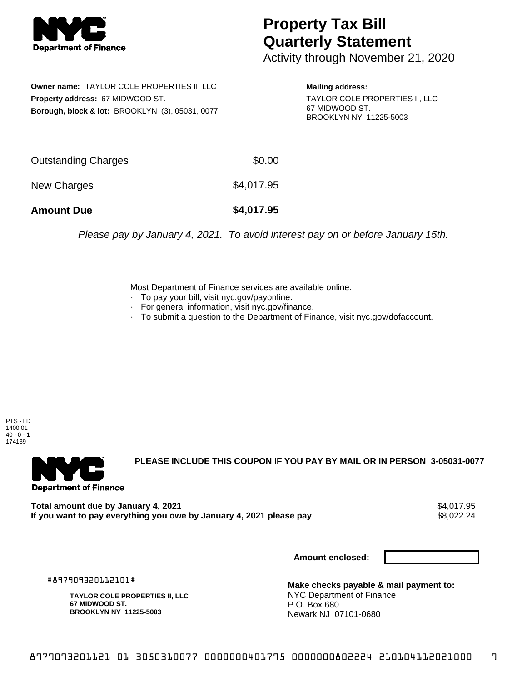

## **Property Tax Bill Quarterly Statement**

Activity through November 21, 2020

**Owner name:** TAYLOR COLE PROPERTIES II, LLC **Property address:** 67 MIDWOOD ST. **Borough, block & lot:** BROOKLYN (3), 05031, 0077

**Mailing address:** TAYLOR COLE PROPERTIES II, LLC 67 MIDWOOD ST. BROOKLYN NY 11225-5003

| <b>Amount Due</b>   | \$4,017.95 |
|---------------------|------------|
| New Charges         | \$4,017.95 |
| Outstanding Charges | \$0.00     |

Please pay by January 4, 2021. To avoid interest pay on or before January 15th.

Most Department of Finance services are available online:

- · To pay your bill, visit nyc.gov/payonline.
- For general information, visit nyc.gov/finance.
- · To submit a question to the Department of Finance, visit nyc.gov/dofaccount.

PTS - LD 1400.01  $40 - 0 - 1$ 174139



**PLEASE INCLUDE THIS COUPON IF YOU PAY BY MAIL OR IN PERSON 3-05031-0077** 

Total amount due by January 4, 2021<br>If you want to pay everything you owe by January 4, 2021 please pay **show that the summary of the se**s,022.24 If you want to pay everything you owe by January 4, 2021 please pay

**Amount enclosed:**

#897909320112101#

**TAYLOR COLE PROPERTIES II, LLC 67 MIDWOOD ST. BROOKLYN NY 11225-5003**

**Make checks payable & mail payment to:** NYC Department of Finance P.O. Box 680 Newark NJ 07101-0680